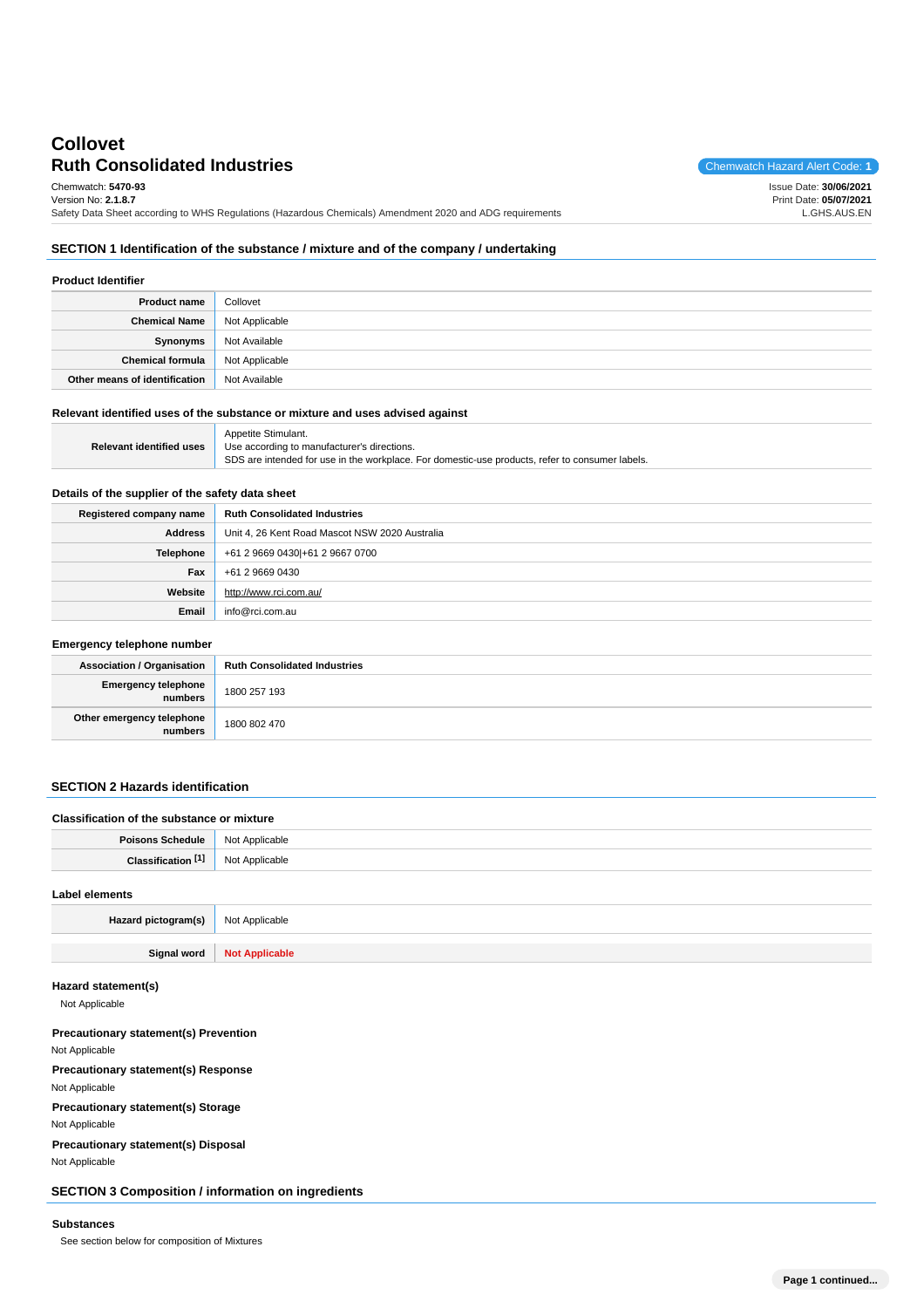# **Ruth Consolidated Industries** Chemwatch Hazard Alert Code: 1 **Collovet**

Chemwatch: **5470-93** Version No: **2.1.8.7**

Issue Date: **30/06/2021** Print Date: **05/07/2021** L.GHS.AUS.EN

Safety Data Sheet according to WHS Regulations (Hazardous Chemicals) Amendment 2020 and ADG requirements

## **SECTION 1 Identification of the substance / mixture and of the company / undertaking**

| <b>Product Identifier</b>     |                |
|-------------------------------|----------------|
| <b>Product name</b>           | Collovet       |
| Chemical Name                 | Not Applicable |
| Synonyms                      | Not Available  |
| Chemical formula              | Not Applicable |
| Other means of identification | Not Available  |

## **Relevant identified uses of the substance or mixture and uses advised against**

|                                 | Appetite Stimulant.                                                                             |
|---------------------------------|-------------------------------------------------------------------------------------------------|
| <b>Relevant identified uses</b> | Use according to manufacturer's directions.                                                     |
|                                 | SDS are intended for use in the workplace. For domestic-use products, refer to consumer labels. |

## **Details of the supplier of the safety data sheet**

| Registered company name | <b>Ruth Consolidated Industries</b>            |
|-------------------------|------------------------------------------------|
| <b>Address</b>          | Unit 4, 26 Kent Road Mascot NSW 2020 Australia |
| Telephone               | +61 2 9669 0430 +61 2 9667 0700                |
| Fax                     | +61 2 9669 0430                                |
| Website                 | http://www.rci.com.au/                         |
| Email                   | info@rci.com.au                                |

#### **Emergency telephone number**

| <b>Association / Organisation</b>    | <b>Ruth Consolidated Industries</b> |
|--------------------------------------|-------------------------------------|
| Emergency telephone<br>numbers       | 1800 257 193                        |
| Other emergency telephone<br>numbers | 1800 802 470                        |

## **SECTION 2 Hazards identification**

| Classification of the substance or mixture |                       |
|--------------------------------------------|-----------------------|
| <b>Poisons Schedule</b>                    | Not Applicable        |
| Classification [1]                         | Not Applicable        |
| Label elements                             |                       |
| Hazard pictogram(s)                        | Not Applicable        |
| Signal word                                | <b>Not Applicable</b> |

#### **Hazard statement(s)**

Not Applicable

**Precautionary statement(s) Prevention** Not Applicable **Precautionary statement(s) Response** Not Applicable **Precautionary statement(s) Storage** Not Applicable **Precautionary statement(s) Disposal**

Not Applicable

**SECTION 3 Composition / information on ingredients**

#### **Substances**

See section below for composition of Mixtures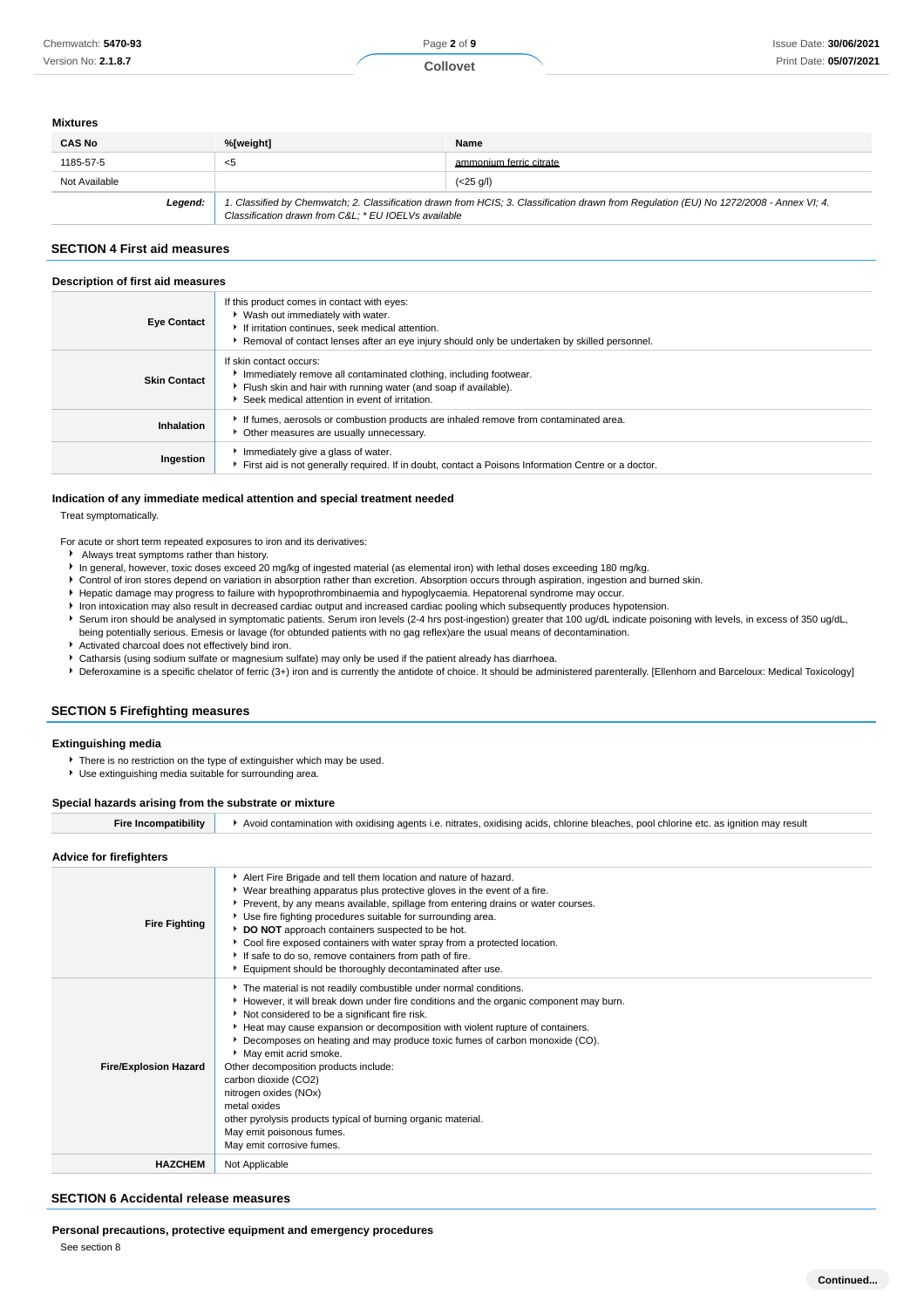#### **Mixtures**

| <b>CAS No</b> | %[weight]                                           | Name                                                                                                                                    |
|---------------|-----------------------------------------------------|-----------------------------------------------------------------------------------------------------------------------------------------|
| 1185-57-5     | $<$ 5                                               | ammonium ferric citrate                                                                                                                 |
| Not Available |                                                     | $(<25 \text{ g/l})$                                                                                                                     |
| Legend:       | Classification drawn from C&L * EU IOELVs available | 1. Classified by Chemwatch; 2. Classification drawn from HCIS; 3. Classification drawn from Regulation (EU) No 1272/2008 - Annex VI; 4. |

## **SECTION 4 First aid measures**

#### **Description of first aid measures**

| <b>Eye Contact</b>  | If this product comes in contact with eyes:<br>▶ Wash out immediately with water.<br>If irritation continues, seek medical attention.<br>Removal of contact lenses after an eye injury should only be undertaken by skilled personnel. |
|---------------------|----------------------------------------------------------------------------------------------------------------------------------------------------------------------------------------------------------------------------------------|
| <b>Skin Contact</b> | If skin contact occurs:<br>Immediately remove all contaminated clothing, including footwear.<br>Flush skin and hair with running water (and soap if available).<br>Seek medical attention in event of irritation.                      |
| Inhalation          | If fumes, aerosols or combustion products are inhaled remove from contaminated area.<br>• Other measures are usually unnecessary.                                                                                                      |
| Ingestion           | Immediately give a glass of water.<br>First aid is not generally required. If in doubt, contact a Poisons Information Centre or a doctor.                                                                                              |

#### **Indication of any immediate medical attention and special treatment needed**

Treat symptomatically.

- For acute or short term repeated exposures to iron and its derivatives:
	- Always treat symptoms rather than history.
	- In general, however, toxic doses exceed 20 mg/kg of ingested material (as elemental iron) with lethal doses exceeding 180 mg/kg.
	- Control of iron stores depend on variation in absorption rather than excretion. Absorption occurs through aspiration, ingestion and burned skin.
	- $\ddot{\phantom{1}}$ Hepatic damage may progress to failure with hypoprothrombinaemia and hypoglycaemia. Hepatorenal syndrome may occur.
	- Iron intoxication may also result in decreased cardiac output and increased cardiac pooling which subsequently produces hypotension.
	- Serum iron should be analysed in symptomatic patients. Serum iron levels (2-4 hrs post-ingestion) greater that 100 ug/dL indicate poisoning with levels, in excess of 350 ug/dL,
	- being potentially serious. Emesis or lavage (for obtunded patients with no gag reflex)are the usual means of decontamination. Activated charcoal does not effectively bind iron.
	- Catharsis (using sodium sulfate or magnesium sulfate) may only be used if the patient already has diarrhoea.
	- **P** Deferoxamine is a specific chelator of ferric (3+) iron and is currently the antidote of choice. It should be administered parenterally. [Ellenhorn and Barceloux: Medical Toxicology]

### **SECTION 5 Firefighting measures**

#### **Extinguishing media**

- **There is no restriction on the type of extinguisher which may be used.**
- Use extinguishing media suitable for surrounding area.

#### **Special hazards arising from the substrate or mixture**

| compatibilitv<br>Fire Inc | Avoid contamination with oxidising agents i.e. nitrates, oxidising acids, chlorine bleaches, pool chlorine etc. as ignition may result |
|---------------------------|----------------------------------------------------------------------------------------------------------------------------------------|
|                           |                                                                                                                                        |

## **Advice for firefighters**

| <b>AUVILE IUI IIIEIIUIIIEI S</b> |                                                                                                                                                                                                                                                                                                                                                                                                                                                                                                                                                                                                                                         |
|----------------------------------|-----------------------------------------------------------------------------------------------------------------------------------------------------------------------------------------------------------------------------------------------------------------------------------------------------------------------------------------------------------------------------------------------------------------------------------------------------------------------------------------------------------------------------------------------------------------------------------------------------------------------------------------|
| <b>Fire Fighting</b>             | Alert Fire Brigade and tell them location and nature of hazard.<br>▶ Wear breathing apparatus plus protective gloves in the event of a fire.<br>▶ Prevent, by any means available, spillage from entering drains or water courses.<br>Use fire fighting procedures suitable for surrounding area.<br>DO NOT approach containers suspected to be hot.<br>Cool fire exposed containers with water spray from a protected location.<br>If safe to do so, remove containers from path of fire.<br>Equipment should be thoroughly decontaminated after use.                                                                                  |
| <b>Fire/Explosion Hazard</b>     | The material is not readily combustible under normal conditions.<br>However, it will break down under fire conditions and the organic component may burn.<br>Not considered to be a significant fire risk.<br>Heat may cause expansion or decomposition with violent rupture of containers.<br>Decomposes on heating and may produce toxic fumes of carbon monoxide (CO).<br>May emit acrid smoke.<br>Other decomposition products include:<br>carbon dioxide (CO2)<br>nitrogen oxides (NOx)<br>metal oxides<br>other pyrolysis products typical of burning organic material.<br>May emit poisonous fumes.<br>May emit corrosive fumes. |
| <b>HAZCHEM</b>                   | Not Applicable                                                                                                                                                                                                                                                                                                                                                                                                                                                                                                                                                                                                                          |

#### **SECTION 6 Accidental release measures**

**Personal precautions, protective equipment and emergency procedures**

See section 8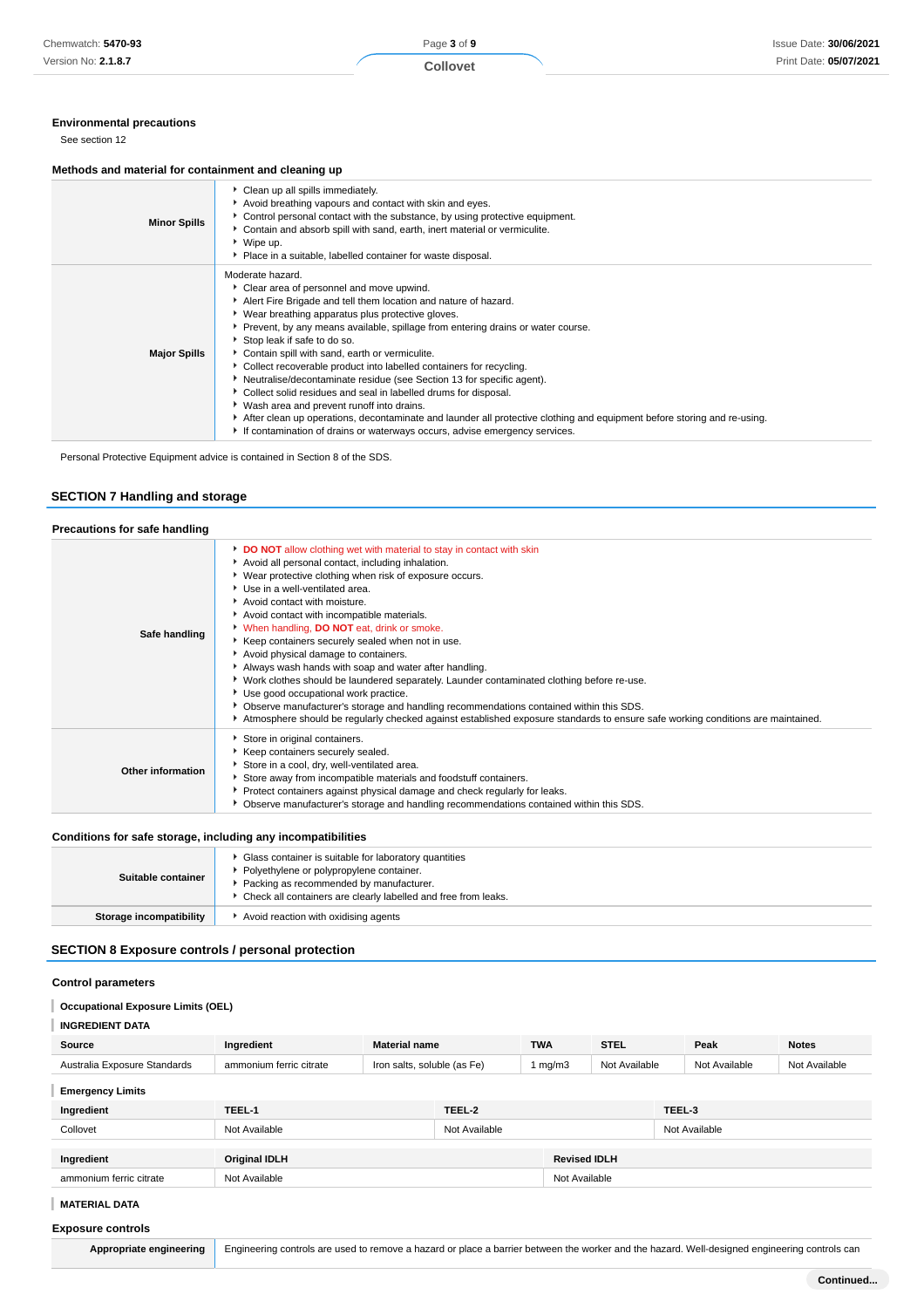## **Environmental precautions**

See section 12

## **Methods and material for containment and cleaning up**

| <b>Minor Spills</b> | Clean up all spills immediately.<br>Avoid breathing vapours and contact with skin and eyes.<br>Control personal contact with the substance, by using protective equipment.<br>▶ Contain and absorb spill with sand, earth, inert material or vermiculite.<br>▶ Wipe up.<br>• Place in a suitable, labelled container for waste disposal.                                                                                                                                                                                                                                                                                                                                                                                                                                                                                                 |
|---------------------|------------------------------------------------------------------------------------------------------------------------------------------------------------------------------------------------------------------------------------------------------------------------------------------------------------------------------------------------------------------------------------------------------------------------------------------------------------------------------------------------------------------------------------------------------------------------------------------------------------------------------------------------------------------------------------------------------------------------------------------------------------------------------------------------------------------------------------------|
| <b>Major Spills</b> | Moderate hazard.<br>Clear area of personnel and move upwind.<br>Alert Fire Brigade and tell them location and nature of hazard.<br>▶ Wear breathing apparatus plus protective gloves.<br>▶ Prevent, by any means available, spillage from entering drains or water course.<br>Stop leak if safe to do so.<br>Contain spill with sand, earth or vermiculite.<br>▶ Collect recoverable product into labelled containers for recycling.<br>Neutralise/decontaminate residue (see Section 13 for specific agent).<br>Collect solid residues and seal in labelled drums for disposal.<br>▶ Wash area and prevent runoff into drains.<br>After clean up operations, decontaminate and launder all protective clothing and equipment before storing and re-using.<br>If contamination of drains or waterways occurs, advise emergency services. |

Personal Protective Equipment advice is contained in Section 8 of the SDS.

## **SECTION 7 Handling and storage**

| Precautions for safe handling |                                                                                                                                                                                                                                                                                                                                                                                                                                                                                                                                                                                                                                                                                                                                                                                                                                                                                    |
|-------------------------------|------------------------------------------------------------------------------------------------------------------------------------------------------------------------------------------------------------------------------------------------------------------------------------------------------------------------------------------------------------------------------------------------------------------------------------------------------------------------------------------------------------------------------------------------------------------------------------------------------------------------------------------------------------------------------------------------------------------------------------------------------------------------------------------------------------------------------------------------------------------------------------|
| Safe handling                 | DO NOT allow clothing wet with material to stay in contact with skin<br>Avoid all personal contact, including inhalation.<br>▶ Wear protective clothing when risk of exposure occurs.<br>Use in a well-ventilated area.<br>Avoid contact with moisture.<br>Avoid contact with incompatible materials.<br>V When handling, DO NOT eat, drink or smoke.<br>Keep containers securely sealed when not in use.<br>Avoid physical damage to containers.<br>Always wash hands with soap and water after handling.<br>▶ Work clothes should be laundered separately. Launder contaminated clothing before re-use.<br>▶ Use good occupational work practice.<br>▶ Observe manufacturer's storage and handling recommendations contained within this SDS.<br>Atmosphere should be regularly checked against established exposure standards to ensure safe working conditions are maintained. |
| Other information             | Store in original containers.<br>Keep containers securely sealed.<br>Store in a cool, dry, well-ventilated area.<br>Store away from incompatible materials and foodstuff containers.<br>▶ Protect containers against physical damage and check regularly for leaks.<br>▶ Observe manufacturer's storage and handling recommendations contained within this SDS.                                                                                                                                                                                                                                                                                                                                                                                                                                                                                                                    |

## **Conditions for safe storage, including any incompatibilities**

| Suitable container      | Glass container is suitable for laboratory quantities<br>Polyethylene or polypropylene container.<br>Packing as recommended by manufacturer.<br>• Check all containers are clearly labelled and free from leaks. |
|-------------------------|------------------------------------------------------------------------------------------------------------------------------------------------------------------------------------------------------------------|
| Storage incompatibility | Avoid reaction with oxidising agents                                                                                                                                                                             |

## **SECTION 8 Exposure controls / personal protection**

## **Control parameters**

#### **Occupational Exposure Limits (OEL)** I

| Source                       | Ingredient              | <b>Material name</b>        |               | <b>TWA</b>    | <b>STEL</b>         |        | Peak          | <b>Notes</b>  |
|------------------------------|-------------------------|-----------------------------|---------------|---------------|---------------------|--------|---------------|---------------|
| Australia Exposure Standards | ammonium ferric citrate | Iron salts, soluble (as Fe) |               | 1 mg/m $3$    | Not Available       |        | Not Available | Not Available |
| <b>Emergency Limits</b>      |                         |                             |               |               |                     |        |               |               |
| Ingredient                   | TEEL-1                  |                             | TEEL-2        |               |                     | TEEL-3 |               |               |
| Collovet                     | Not Available           |                             | Not Available |               |                     |        | Not Available |               |
|                              |                         |                             |               |               |                     |        |               |               |
| Ingredient                   | <b>Original IDLH</b>    |                             |               |               | <b>Revised IDLH</b> |        |               |               |
| ammonium ferric citrate      | Not Available           |                             |               | Not Available |                     |        |               |               |

#### **MATERIAL DATA**

## **Exposure controls**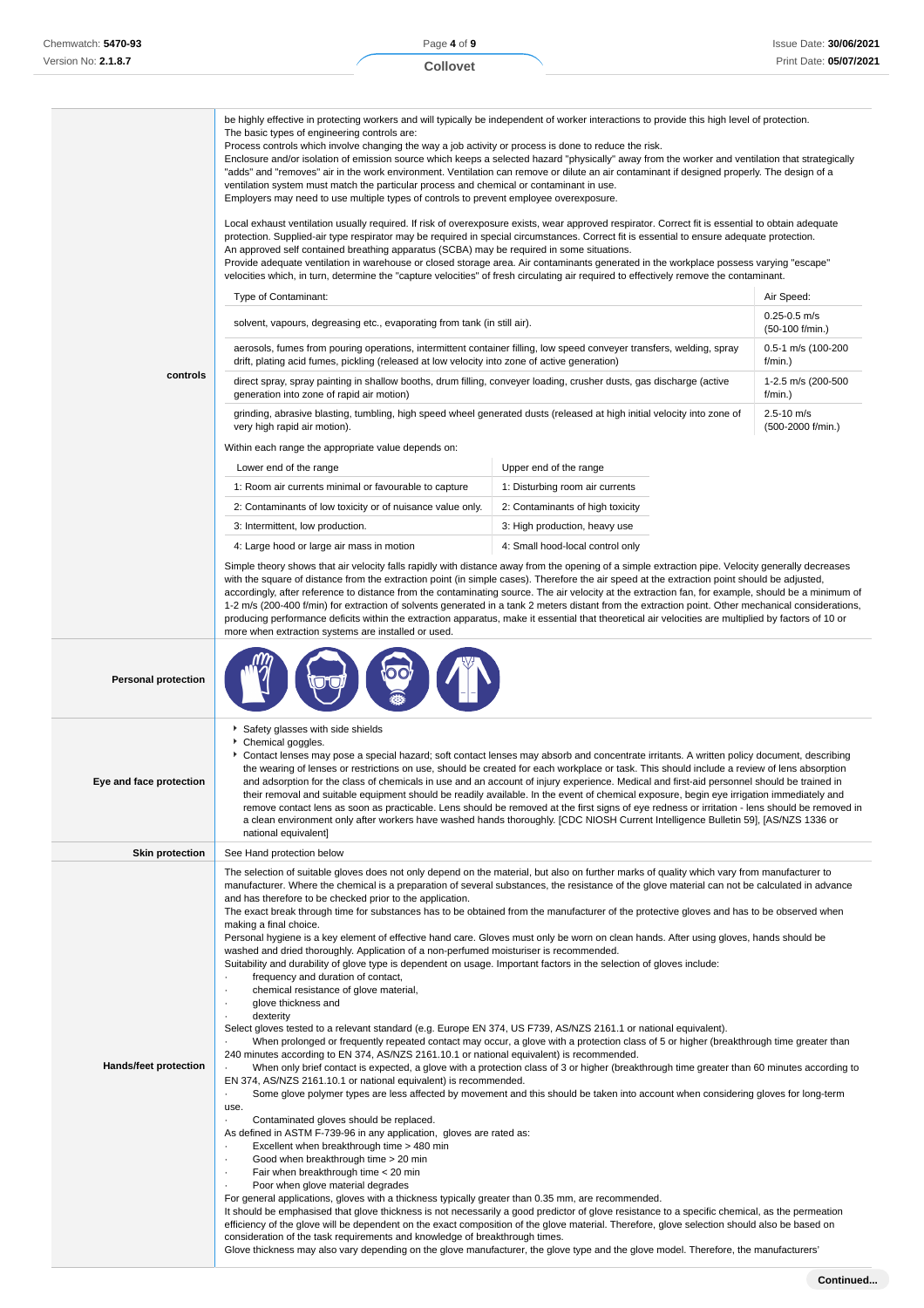|                            | be highly effective in protecting workers and will typically be independent of worker interactions to provide this high level of protection.<br>The basic types of engineering controls are:<br>Process controls which involve changing the way a job activity or process is done to reduce the risk.<br>Enclosure and/or isolation of emission source which keeps a selected hazard "physically" away from the worker and ventilation that strategically<br>"adds" and "removes" air in the work environment. Ventilation can remove or dilute an air contaminant if designed properly. The design of a<br>ventilation system must match the particular process and chemical or contaminant in use.<br>Employers may need to use multiple types of controls to prevent employee overexposure.                                                                                                                                                                                                                                                                                                                                                                                                                                                                                                                                                                                                                                                                                                                                                                                                                                                                                                                                                                                                                                                                                                                                                                                                                                                                                               |                                                                                                                                                                                                                                                                                                                                                                                                                                                                                                                                        |                                     |  |  |  |
|----------------------------|----------------------------------------------------------------------------------------------------------------------------------------------------------------------------------------------------------------------------------------------------------------------------------------------------------------------------------------------------------------------------------------------------------------------------------------------------------------------------------------------------------------------------------------------------------------------------------------------------------------------------------------------------------------------------------------------------------------------------------------------------------------------------------------------------------------------------------------------------------------------------------------------------------------------------------------------------------------------------------------------------------------------------------------------------------------------------------------------------------------------------------------------------------------------------------------------------------------------------------------------------------------------------------------------------------------------------------------------------------------------------------------------------------------------------------------------------------------------------------------------------------------------------------------------------------------------------------------------------------------------------------------------------------------------------------------------------------------------------------------------------------------------------------------------------------------------------------------------------------------------------------------------------------------------------------------------------------------------------------------------------------------------------------------------------------------------------------------------|----------------------------------------------------------------------------------------------------------------------------------------------------------------------------------------------------------------------------------------------------------------------------------------------------------------------------------------------------------------------------------------------------------------------------------------------------------------------------------------------------------------------------------------|-------------------------------------|--|--|--|
|                            | velocities which, in turn, determine the "capture velocities" of fresh circulating air required to effectively remove the contaminant.                                                                                                                                                                                                                                                                                                                                                                                                                                                                                                                                                                                                                                                                                                                                                                                                                                                                                                                                                                                                                                                                                                                                                                                                                                                                                                                                                                                                                                                                                                                                                                                                                                                                                                                                                                                                                                                                                                                                                       | Local exhaust ventilation usually required. If risk of overexposure exists, wear approved respirator. Correct fit is essential to obtain adequate<br>protection. Supplied-air type respirator may be required in special circumstances. Correct fit is essential to ensure adequate protection.<br>An approved self contained breathing apparatus (SCBA) may be required in some situations.<br>Provide adequate ventilation in warehouse or closed storage area. Air contaminants generated in the workplace possess varying "escape" |                                     |  |  |  |
|                            | Type of Contaminant:<br>Air Speed:                                                                                                                                                                                                                                                                                                                                                                                                                                                                                                                                                                                                                                                                                                                                                                                                                                                                                                                                                                                                                                                                                                                                                                                                                                                                                                                                                                                                                                                                                                                                                                                                                                                                                                                                                                                                                                                                                                                                                                                                                                                           |                                                                                                                                                                                                                                                                                                                                                                                                                                                                                                                                        |                                     |  |  |  |
|                            | solvent, vapours, degreasing etc., evaporating from tank (in still air).                                                                                                                                                                                                                                                                                                                                                                                                                                                                                                                                                                                                                                                                                                                                                                                                                                                                                                                                                                                                                                                                                                                                                                                                                                                                                                                                                                                                                                                                                                                                                                                                                                                                                                                                                                                                                                                                                                                                                                                                                     | $0.25 - 0.5$ m/s<br>$(50-100)$ f/min.)                                                                                                                                                                                                                                                                                                                                                                                                                                                                                                 |                                     |  |  |  |
|                            | aerosols, fumes from pouring operations, intermittent container filling, low speed conveyer transfers, welding, spray<br>drift, plating acid fumes, pickling (released at low velocity into zone of active generation)                                                                                                                                                                                                                                                                                                                                                                                                                                                                                                                                                                                                                                                                                                                                                                                                                                                                                                                                                                                                                                                                                                                                                                                                                                                                                                                                                                                                                                                                                                                                                                                                                                                                                                                                                                                                                                                                       |                                                                                                                                                                                                                                                                                                                                                                                                                                                                                                                                        | 0.5-1 m/s (100-200<br>f/min.)       |  |  |  |
| controls                   | direct spray, spray painting in shallow booths, drum filling, conveyer loading, crusher dusts, gas discharge (active<br>generation into zone of rapid air motion)                                                                                                                                                                                                                                                                                                                                                                                                                                                                                                                                                                                                                                                                                                                                                                                                                                                                                                                                                                                                                                                                                                                                                                                                                                                                                                                                                                                                                                                                                                                                                                                                                                                                                                                                                                                                                                                                                                                            |                                                                                                                                                                                                                                                                                                                                                                                                                                                                                                                                        | 1-2.5 m/s (200-500<br>f/min.)       |  |  |  |
|                            | grinding, abrasive blasting, tumbling, high speed wheel generated dusts (released at high initial velocity into zone of<br>very high rapid air motion).                                                                                                                                                                                                                                                                                                                                                                                                                                                                                                                                                                                                                                                                                                                                                                                                                                                                                                                                                                                                                                                                                                                                                                                                                                                                                                                                                                                                                                                                                                                                                                                                                                                                                                                                                                                                                                                                                                                                      |                                                                                                                                                                                                                                                                                                                                                                                                                                                                                                                                        | $2.5 - 10$ m/s<br>(500-2000 f/min.) |  |  |  |
|                            | Within each range the appropriate value depends on:                                                                                                                                                                                                                                                                                                                                                                                                                                                                                                                                                                                                                                                                                                                                                                                                                                                                                                                                                                                                                                                                                                                                                                                                                                                                                                                                                                                                                                                                                                                                                                                                                                                                                                                                                                                                                                                                                                                                                                                                                                          |                                                                                                                                                                                                                                                                                                                                                                                                                                                                                                                                        |                                     |  |  |  |
|                            | Lower end of the range                                                                                                                                                                                                                                                                                                                                                                                                                                                                                                                                                                                                                                                                                                                                                                                                                                                                                                                                                                                                                                                                                                                                                                                                                                                                                                                                                                                                                                                                                                                                                                                                                                                                                                                                                                                                                                                                                                                                                                                                                                                                       | Upper end of the range                                                                                                                                                                                                                                                                                                                                                                                                                                                                                                                 |                                     |  |  |  |
|                            | 1: Room air currents minimal or favourable to capture                                                                                                                                                                                                                                                                                                                                                                                                                                                                                                                                                                                                                                                                                                                                                                                                                                                                                                                                                                                                                                                                                                                                                                                                                                                                                                                                                                                                                                                                                                                                                                                                                                                                                                                                                                                                                                                                                                                                                                                                                                        | 1: Disturbing room air currents                                                                                                                                                                                                                                                                                                                                                                                                                                                                                                        |                                     |  |  |  |
|                            | 2: Contaminants of low toxicity or of nuisance value only.                                                                                                                                                                                                                                                                                                                                                                                                                                                                                                                                                                                                                                                                                                                                                                                                                                                                                                                                                                                                                                                                                                                                                                                                                                                                                                                                                                                                                                                                                                                                                                                                                                                                                                                                                                                                                                                                                                                                                                                                                                   | 2: Contaminants of high toxicity                                                                                                                                                                                                                                                                                                                                                                                                                                                                                                       |                                     |  |  |  |
|                            | 3: Intermittent, low production.                                                                                                                                                                                                                                                                                                                                                                                                                                                                                                                                                                                                                                                                                                                                                                                                                                                                                                                                                                                                                                                                                                                                                                                                                                                                                                                                                                                                                                                                                                                                                                                                                                                                                                                                                                                                                                                                                                                                                                                                                                                             | 3: High production, heavy use                                                                                                                                                                                                                                                                                                                                                                                                                                                                                                          |                                     |  |  |  |
|                            | 4: Large hood or large air mass in motion                                                                                                                                                                                                                                                                                                                                                                                                                                                                                                                                                                                                                                                                                                                                                                                                                                                                                                                                                                                                                                                                                                                                                                                                                                                                                                                                                                                                                                                                                                                                                                                                                                                                                                                                                                                                                                                                                                                                                                                                                                                    | 4: Small hood-local control only                                                                                                                                                                                                                                                                                                                                                                                                                                                                                                       |                                     |  |  |  |
|                            | Simple theory shows that air velocity falls rapidly with distance away from the opening of a simple extraction pipe. Velocity generally decreases<br>with the square of distance from the extraction point (in simple cases). Therefore the air speed at the extraction point should be adjusted,<br>accordingly, after reference to distance from the contaminating source. The air velocity at the extraction fan, for example, should be a minimum of<br>1-2 m/s (200-400 f/min) for extraction of solvents generated in a tank 2 meters distant from the extraction point. Other mechanical considerations,<br>producing performance deficits within the extraction apparatus, make it essential that theoretical air velocities are multiplied by factors of 10 or<br>more when extraction systems are installed or used.                                                                                                                                                                                                                                                                                                                                                                                                                                                                                                                                                                                                                                                                                                                                                                                                                                                                                                                                                                                                                                                                                                                                                                                                                                                               |                                                                                                                                                                                                                                                                                                                                                                                                                                                                                                                                        |                                     |  |  |  |
| <b>Personal protection</b> |                                                                                                                                                                                                                                                                                                                                                                                                                                                                                                                                                                                                                                                                                                                                                                                                                                                                                                                                                                                                                                                                                                                                                                                                                                                                                                                                                                                                                                                                                                                                                                                                                                                                                                                                                                                                                                                                                                                                                                                                                                                                                              |                                                                                                                                                                                                                                                                                                                                                                                                                                                                                                                                        |                                     |  |  |  |
| Eye and face protection    | Safety glasses with side shields<br>٠<br>Chemical goggles.<br>▶ Contact lenses may pose a special hazard; soft contact lenses may absorb and concentrate irritants. A written policy document, describing<br>the wearing of lenses or restrictions on use, should be created for each workplace or task. This should include a review of lens absorption<br>and adsorption for the class of chemicals in use and an account of injury experience. Medical and first-aid personnel should be trained in<br>their removal and suitable equipment should be readily available. In the event of chemical exposure, begin eye irrigation immediately and<br>remove contact lens as soon as practicable. Lens should be removed at the first signs of eye redness or irritation - lens should be removed in<br>a clean environment only after workers have washed hands thoroughly. [CDC NIOSH Current Intelligence Bulletin 59], [AS/NZS 1336 or<br>national equivalent]                                                                                                                                                                                                                                                                                                                                                                                                                                                                                                                                                                                                                                                                                                                                                                                                                                                                                                                                                                                                                                                                                                                          |                                                                                                                                                                                                                                                                                                                                                                                                                                                                                                                                        |                                     |  |  |  |
| <b>Skin protection</b>     | See Hand protection below                                                                                                                                                                                                                                                                                                                                                                                                                                                                                                                                                                                                                                                                                                                                                                                                                                                                                                                                                                                                                                                                                                                                                                                                                                                                                                                                                                                                                                                                                                                                                                                                                                                                                                                                                                                                                                                                                                                                                                                                                                                                    |                                                                                                                                                                                                                                                                                                                                                                                                                                                                                                                                        |                                     |  |  |  |
| Hands/feet protection      | The selection of suitable gloves does not only depend on the material, but also on further marks of quality which vary from manufacturer to<br>manufacturer. Where the chemical is a preparation of several substances, the resistance of the glove material can not be calculated in advance<br>and has therefore to be checked prior to the application.<br>The exact break through time for substances has to be obtained from the manufacturer of the protective gloves and has to be observed when<br>making a final choice.<br>Personal hygiene is a key element of effective hand care. Gloves must only be worn on clean hands. After using gloves, hands should be<br>washed and dried thoroughly. Application of a non-perfumed moisturiser is recommended.<br>Suitability and durability of glove type is dependent on usage. Important factors in the selection of gloves include:<br>frequency and duration of contact,<br>chemical resistance of glove material,<br>glove thickness and<br>dexterity<br>Select gloves tested to a relevant standard (e.g. Europe EN 374, US F739, AS/NZS 2161.1 or national equivalent).<br>240 minutes according to EN 374, AS/NZS 2161.10.1 or national equivalent) is recommended.<br>EN 374, AS/NZS 2161.10.1 or national equivalent) is recommended.<br>use.<br>Contaminated gloves should be replaced.<br>As defined in ASTM F-739-96 in any application, gloves are rated as:<br>Excellent when breakthrough time > 480 min<br>Good when breakthrough time > 20 min<br>Fair when breakthrough time < 20 min<br>Poor when glove material degrades<br>For general applications, gloves with a thickness typically greater than 0.35 mm, are recommended.<br>It should be emphasised that glove thickness is not necessarily a good predictor of glove resistance to a specific chemical, as the permeation<br>efficiency of the glove will be dependent on the exact composition of the glove material. Therefore, glove selection should also be based on<br>consideration of the task requirements and knowledge of breakthrough times. | When prolonged or frequently repeated contact may occur, a glove with a protection class of 5 or higher (breakthrough time greater than<br>When only brief contact is expected, a glove with a protection class of 3 or higher (breakthrough time greater than 60 minutes according to<br>Some glove polymer types are less affected by movement and this should be taken into account when considering gloves for long-term                                                                                                           |                                     |  |  |  |

Glove thickness may also vary depending on the glove manufacturer, the glove type and the glove model. Therefore, the manufacturers'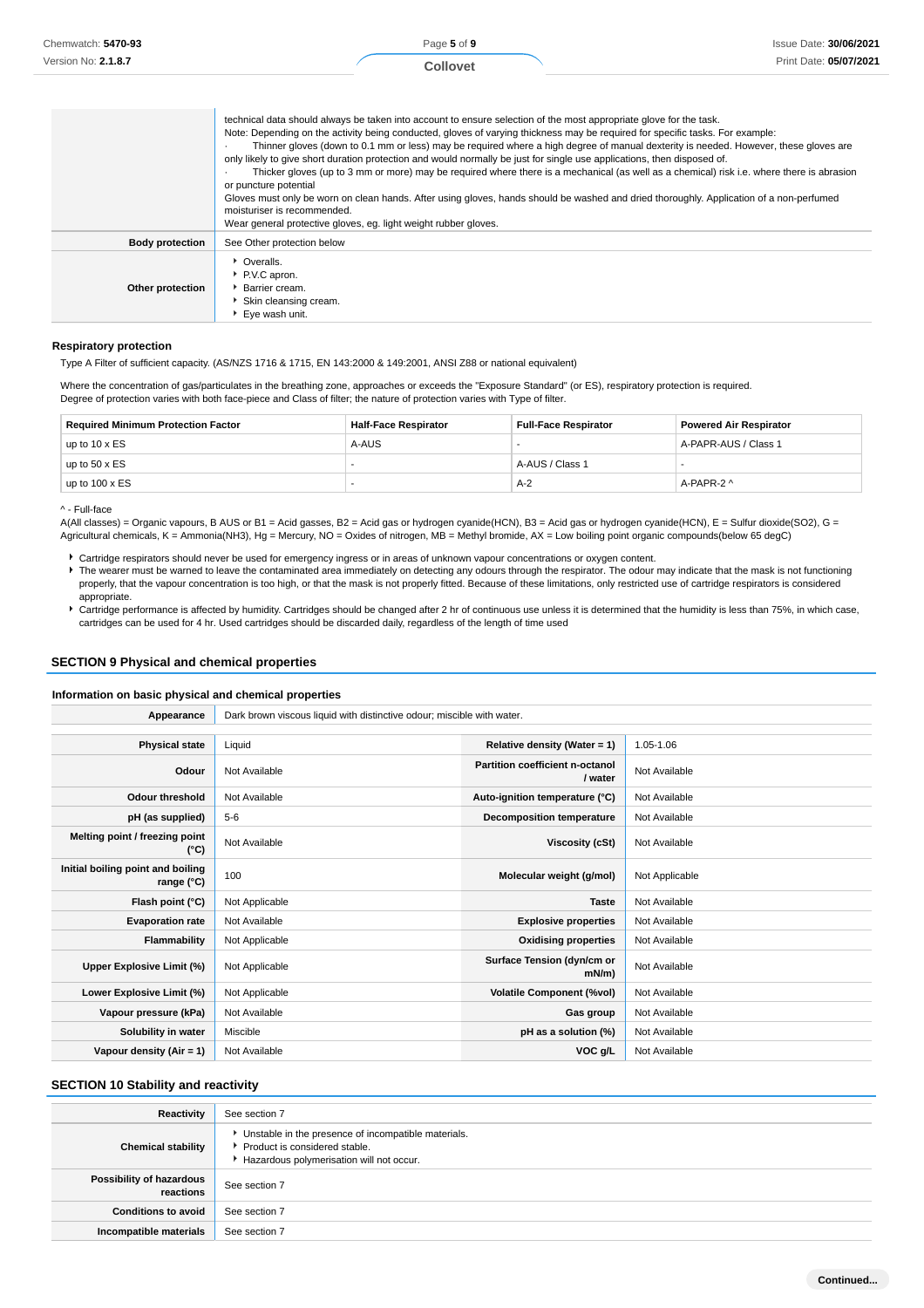| Chemwatch: 5470-93<br>Version No: 2.1.8.7 |                                                                                                                                                                                                                                                                                                                                                                                                         | Page 5 of 9<br><b>Collovet</b> | Issue Date: 30/06/2021<br>Print Date: 05/07/2021                                                                                                                                                                                                                                                                                                                                                                             |
|-------------------------------------------|---------------------------------------------------------------------------------------------------------------------------------------------------------------------------------------------------------------------------------------------------------------------------------------------------------------------------------------------------------------------------------------------------------|--------------------------------|------------------------------------------------------------------------------------------------------------------------------------------------------------------------------------------------------------------------------------------------------------------------------------------------------------------------------------------------------------------------------------------------------------------------------|
|                                           | technical data should always be taken into account to ensure selection of the most appropriate glove for the task.<br>Note: Depending on the activity being conducted, gloves of varying thickness may be required for specific tasks. For example:<br>only likely to give short duration protection and would normally be just for single use applications, then disposed of.<br>or puncture potential |                                | Thinner gloves (down to 0.1 mm or less) may be required where a high degree of manual dexterity is needed. However, these gloves are<br>Thicker gloves (up to 3 mm or more) may be required where there is a mechanical (as well as a chemical) risk i.e. where there is abrasion<br>Gloves must only be worn on clean hands. After using gloves, hands should be washed and dried thoroughly. Application of a non-perfumed |

|                        | moisturiser is recommended.<br>Wear general protective gloves, eg. light weight rubber gloves. |
|------------------------|------------------------------------------------------------------------------------------------|
| <b>Body protection</b> | See Other protection below                                                                     |
| Other protection       | • Overalls.<br>P.V.C apron.<br>Barrier cream.<br>Skin cleansing cream.<br>▶ Eye wash unit.     |

#### **Respiratory protection**

Type A Filter of sufficient capacity. (AS/NZS 1716 & 1715, EN 143:2000 & 149:2001, ANSI Z88 or national equivalent)

Where the concentration of gas/particulates in the breathing zone, approaches or exceeds the "Exposure Standard" (or ES), respiratory protection is required. Degree of protection varies with both face-piece and Class of filter; the nature of protection varies with Type of filter.

| <b>Required Minimum Protection Factor</b> | <b>Half-Face Respirator</b> | <b>Full-Face Respirator</b> | <b>Powered Air Respirator</b> |
|-------------------------------------------|-----------------------------|-----------------------------|-------------------------------|
| up to $10 \times ES$                      | A-AUS                       |                             | A-PAPR-AUS / Class 1          |
| up to $50 \times ES$                      | -                           | A-AUS / Class 1             |                               |
| up to $100 \times ES$                     |                             | A-2                         | A-PAPR-2 ^                    |

^ - Full-face

A(All classes) = Organic vapours, B AUS or B1 = Acid gasses, B2 = Acid gas or hydrogen cyanide(HCN), B3 = Acid gas or hydrogen cyanide(HCN), E = Sulfur dioxide(SO2), G = Agricultural chemicals, K = Ammonia(NH3), Hg = Mercury, NO = Oxides of nitrogen, MB = Methyl bromide, AX = Low boiling point organic compounds(below 65 degC)

Cartridge respirators should never be used for emergency ingress or in areas of unknown vapour concentrations or oxygen content.

- ▶ The wearer must be warned to leave the contaminated area immediately on detecting any odours through the respirator. The odour may indicate that the mask is not functioning properly, that the vapour concentration is too high, or that the mask is not properly fitted. Because of these limitations, only restricted use of cartridge respirators is considered appropriate.
- Cartridge performance is affected by humidity. Cartridges should be changed after 2 hr of continuous use unless it is determined that the humidity is less than 75%, in which case, cartridges can be used for 4 hr. Used cartridges should be discarded daily, regardless of the length of time used

#### **SECTION 9 Physical and chemical properties**

#### **Information on basic physical and chemical properties**

| Appearance                                      | Dark brown viscous liquid with distinctive odour; miscible with water. |                                            |                |
|-------------------------------------------------|------------------------------------------------------------------------|--------------------------------------------|----------------|
|                                                 |                                                                        |                                            |                |
| <b>Physical state</b>                           | Liquid                                                                 | Relative density (Water = 1)               | 1.05-1.06      |
| Odour                                           | Not Available                                                          | Partition coefficient n-octanol<br>/ water | Not Available  |
| <b>Odour threshold</b>                          | Not Available                                                          | Auto-ignition temperature (°C)             | Not Available  |
| pH (as supplied)                                | $5 - 6$                                                                | <b>Decomposition temperature</b>           | Not Available  |
| Melting point / freezing point<br>(°C)          | Not Available                                                          | Viscosity (cSt)                            | Not Available  |
| Initial boiling point and boiling<br>range (°C) | 100                                                                    | Molecular weight (g/mol)                   | Not Applicable |
| Flash point (°C)                                | Not Applicable                                                         | <b>Taste</b>                               | Not Available  |
| <b>Evaporation rate</b>                         | Not Available                                                          | <b>Explosive properties</b>                | Not Available  |
| Flammability                                    | Not Applicable                                                         | <b>Oxidising properties</b>                | Not Available  |
| Upper Explosive Limit (%)                       | Not Applicable                                                         | Surface Tension (dyn/cm or<br>$mN/m$ )     | Not Available  |
| Lower Explosive Limit (%)                       | Not Applicable                                                         | <b>Volatile Component (%vol)</b>           | Not Available  |
| Vapour pressure (kPa)                           | Not Available                                                          | Gas group                                  | Not Available  |
| Solubility in water                             | Miscible                                                               | pH as a solution (%)                       | Not Available  |
| Vapour density (Air = 1)                        | Not Available                                                          | VOC g/L                                    | Not Available  |

## **SECTION 10 Stability and reactivity**

| Reactivity                            | See section 7                                                                                                                    |
|---------------------------------------|----------------------------------------------------------------------------------------------------------------------------------|
| <b>Chemical stability</b>             | Unstable in the presence of incompatible materials.<br>Product is considered stable.<br>Hazardous polymerisation will not occur. |
| Possibility of hazardous<br>reactions | See section 7                                                                                                                    |
| <b>Conditions to avoid</b>            | See section 7                                                                                                                    |
| Incompatible materials                | See section 7                                                                                                                    |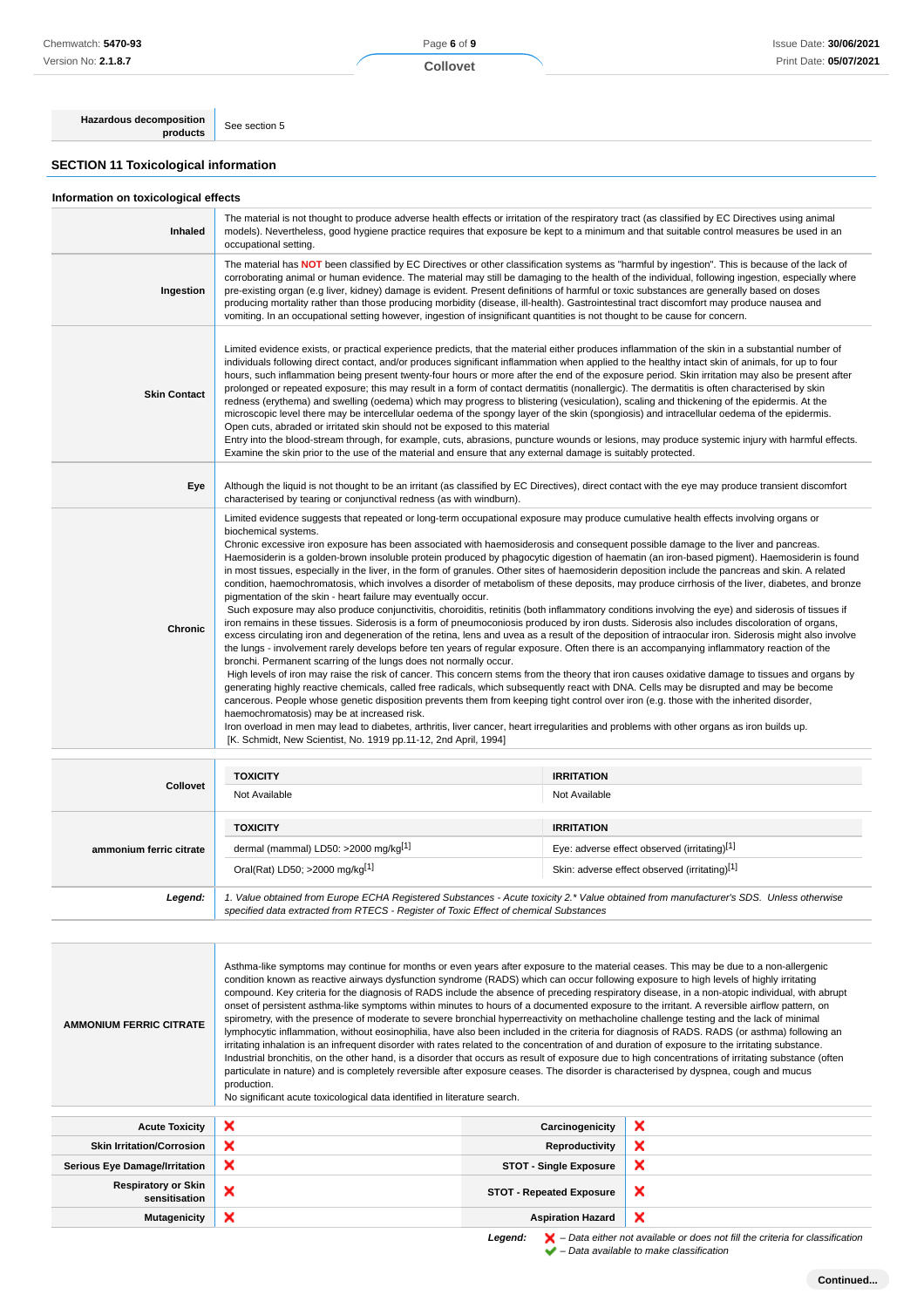Page **6** of **9**

**Collovet**

**Hazardous decomposition**<br>**products** See section 5

## **SECTION 11 Toxicological information**

|  | Information on toxicological effects |  |
|--|--------------------------------------|--|
|  |                                      |  |

| Inhaled             | The material is not thought to produce adverse health effects or irritation of the respiratory tract (as classified by EC Directives using animal<br>models). Nevertheless, good hygiene practice requires that exposure be kept to a minimum and that suitable control measures be used in an<br>occupational setting.                                                                                                                                                                                                                                                                                                                                                                                                                                                                                                                                                                                                                                                                                                                                                                                                                                                                                                                                                                                                                                                                                                                                                                                                                                                                                                                                                                                                                                                                                                                                                                                                                                                                                                                                                                                                                                                                                                  |
|---------------------|--------------------------------------------------------------------------------------------------------------------------------------------------------------------------------------------------------------------------------------------------------------------------------------------------------------------------------------------------------------------------------------------------------------------------------------------------------------------------------------------------------------------------------------------------------------------------------------------------------------------------------------------------------------------------------------------------------------------------------------------------------------------------------------------------------------------------------------------------------------------------------------------------------------------------------------------------------------------------------------------------------------------------------------------------------------------------------------------------------------------------------------------------------------------------------------------------------------------------------------------------------------------------------------------------------------------------------------------------------------------------------------------------------------------------------------------------------------------------------------------------------------------------------------------------------------------------------------------------------------------------------------------------------------------------------------------------------------------------------------------------------------------------------------------------------------------------------------------------------------------------------------------------------------------------------------------------------------------------------------------------------------------------------------------------------------------------------------------------------------------------------------------------------------------------------------------------------------------------|
| Ingestion           | The material has NOT been classified by EC Directives or other classification systems as "harmful by ingestion". This is because of the lack of<br>corroborating animal or human evidence. The material may still be damaging to the health of the individual, following ingestion, especially where<br>pre-existing organ (e.g liver, kidney) damage is evident. Present definitions of harmful or toxic substances are generally based on doses<br>producing mortality rather than those producing morbidity (disease, ill-health). Gastrointestinal tract discomfort may produce nausea and<br>vomiting. In an occupational setting however, ingestion of insignificant quantities is not thought to be cause for concern.                                                                                                                                                                                                                                                                                                                                                                                                                                                                                                                                                                                                                                                                                                                                                                                                                                                                                                                                                                                                                                                                                                                                                                                                                                                                                                                                                                                                                                                                                            |
| <b>Skin Contact</b> | Limited evidence exists, or practical experience predicts, that the material either produces inflammation of the skin in a substantial number of<br>individuals following direct contact, and/or produces significant inflammation when applied to the healthy intact skin of animals, for up to four<br>hours, such inflammation being present twenty-four hours or more after the end of the exposure period. Skin irritation may also be present after<br>prolonged or repeated exposure; this may result in a form of contact dermatitis (nonallergic). The dermatitis is often characterised by skin<br>redness (erythema) and swelling (oedema) which may progress to blistering (vesiculation), scaling and thickening of the epidermis. At the<br>microscopic level there may be intercellular oedema of the spongy layer of the skin (spongiosis) and intracellular oedema of the epidermis.<br>Open cuts, abraded or irritated skin should not be exposed to this material<br>Entry into the blood-stream through, for example, cuts, abrasions, puncture wounds or lesions, may produce systemic injury with harmful effects.<br>Examine the skin prior to the use of the material and ensure that any external damage is suitably protected.                                                                                                                                                                                                                                                                                                                                                                                                                                                                                                                                                                                                                                                                                                                                                                                                                                                                                                                                                                 |
| Eye                 | Although the liquid is not thought to be an irritant (as classified by EC Directives), direct contact with the eye may produce transient discomfort<br>characterised by tearing or conjunctival redness (as with windburn).                                                                                                                                                                                                                                                                                                                                                                                                                                                                                                                                                                                                                                                                                                                                                                                                                                                                                                                                                                                                                                                                                                                                                                                                                                                                                                                                                                                                                                                                                                                                                                                                                                                                                                                                                                                                                                                                                                                                                                                              |
| Chronic             | Limited evidence suggests that repeated or long-term occupational exposure may produce cumulative health effects involving organs or<br>biochemical systems.<br>Chronic excessive iron exposure has been associated with haemosiderosis and consequent possible damage to the liver and pancreas.<br>Haemosiderin is a golden-brown insoluble protein produced by phagocytic digestion of haematin (an iron-based pigment). Haemosiderin is found<br>in most tissues, especially in the liver, in the form of granules. Other sites of haemosiderin deposition include the pancreas and skin. A related<br>condition, haemochromatosis, which involves a disorder of metabolism of these deposits, may produce cirrhosis of the liver, diabetes, and bronze<br>pigmentation of the skin - heart failure may eventually occur.<br>Such exposure may also produce conjunctivitis, choroiditis, retinitis (both inflammatory conditions involving the eye) and siderosis of tissues if<br>iron remains in these tissues. Siderosis is a form of pneumoconiosis produced by iron dusts. Siderosis also includes discoloration of organs,<br>excess circulating iron and degeneration of the retina, lens and uvea as a result of the deposition of intraocular iron. Siderosis might also involve<br>the lungs - involvement rarely develops before ten years of regular exposure. Often there is an accompanying inflammatory reaction of the<br>bronchi. Permanent scarring of the lungs does not normally occur.<br>High levels of iron may raise the risk of cancer. This concern stems from the theory that iron causes oxidative damage to tissues and organs by<br>generating highly reactive chemicals, called free radicals, which subsequently react with DNA. Cells may be disrupted and may be become<br>cancerous. People whose genetic disposition prevents them from keeping tight control over iron (e.g. those with the inherited disorder,<br>haemochromatosis) may be at increased risk.<br>Iron overload in men may lead to diabetes, arthritis, liver cancer, heart irregularities and problems with other organs as iron builds up.<br>[K. Schmidt, New Scientist, No. 1919 pp.11-12, 2nd April, 1994] |

| <b>Collovet</b>         | <b>TOXICITY</b><br>Not Available                                                                                                                                                                                                | <b>IRRITATION</b><br>Not Available                                                                                 |  |
|-------------------------|---------------------------------------------------------------------------------------------------------------------------------------------------------------------------------------------------------------------------------|--------------------------------------------------------------------------------------------------------------------|--|
| ammonium ferric citrate | <b>TOXICITY</b><br>dermal (mammal) LD50: >2000 mg/kg[1]<br>Oral(Rat) LD50; >2000 mg/kg[1]                                                                                                                                       | <b>IRRITATION</b><br>Eye: adverse effect observed (irritating)[1]<br>Skin: adverse effect observed (irritating)[1] |  |
| Legend:                 | 1. Value obtained from Europe ECHA Registered Substances - Acute toxicity 2.* Value obtained from manufacturer's SDS. Unless otherwise<br>specified data extracted from RTECS - Register of Toxic Effect of chemical Substances |                                                                                                                    |  |

| <b>AMMONIUM FERRIC CITRATE</b>                                                                                                                                                          | Asthma-like symptoms may continue for months or even years after exposure to the material ceases. This may be due to a non-allergenic<br>condition known as reactive airways dysfunction syndrome (RADS) which can occur following exposure to high levels of highly irritating<br>compound. Key criteria for the diagnosis of RADS include the absence of preceding respiratory disease, in a non-atopic individual, with abrupt<br>onset of persistent asthma-like symptoms within minutes to hours of a documented exposure to the irritant. A reversible airflow pattern, on<br>spirometry, with the presence of moderate to severe bronchial hyperreactivity on methacholine challenge testing and the lack of minimal<br>lymphocytic inflammation, without eosinophilia, have also been included in the criteria for diagnosis of RADS. RADS (or asthma) following an<br>irritating inhalation is an infrequent disorder with rates related to the concentration of and duration of exposure to the irritating substance.<br>Industrial bronchitis, on the other hand, is a disorder that occurs as result of exposure due to high concentrations of irritating substance (often<br>particulate in nature) and is completely reversible after exposure ceases. The disorder is characterised by dyspnea, cough and mucus<br>production.<br>No significant acute toxicological data identified in literature search. |                                 |                           |
|-----------------------------------------------------------------------------------------------------------------------------------------------------------------------------------------|---------------------------------------------------------------------------------------------------------------------------------------------------------------------------------------------------------------------------------------------------------------------------------------------------------------------------------------------------------------------------------------------------------------------------------------------------------------------------------------------------------------------------------------------------------------------------------------------------------------------------------------------------------------------------------------------------------------------------------------------------------------------------------------------------------------------------------------------------------------------------------------------------------------------------------------------------------------------------------------------------------------------------------------------------------------------------------------------------------------------------------------------------------------------------------------------------------------------------------------------------------------------------------------------------------------------------------------------------------------------------------------------------------------------------|---------------------------------|---------------------------|
| <b>Acute Toxicity</b>                                                                                                                                                                   | ×                                                                                                                                                                                                                                                                                                                                                                                                                                                                                                                                                                                                                                                                                                                                                                                                                                                                                                                                                                                                                                                                                                                                                                                                                                                                                                                                                                                                                         | Carcinogenicity                 | ×                         |
| <b>Skin Irritation/Corrosion</b>                                                                                                                                                        | ×                                                                                                                                                                                                                                                                                                                                                                                                                                                                                                                                                                                                                                                                                                                                                                                                                                                                                                                                                                                                                                                                                                                                                                                                                                                                                                                                                                                                                         | Reproductivity                  | ×                         |
| <b>Serious Eye Damage/Irritation</b>                                                                                                                                                    | ×                                                                                                                                                                                                                                                                                                                                                                                                                                                                                                                                                                                                                                                                                                                                                                                                                                                                                                                                                                                                                                                                                                                                                                                                                                                                                                                                                                                                                         | <b>STOT - Single Exposure</b>   | ×                         |
| <b>Respiratory or Skin</b><br>sensitisation                                                                                                                                             | ×                                                                                                                                                                                                                                                                                                                                                                                                                                                                                                                                                                                                                                                                                                                                                                                                                                                                                                                                                                                                                                                                                                                                                                                                                                                                                                                                                                                                                         | <b>STOT - Repeated Exposure</b> | ×                         |
| <b>Mutagenicity</b>                                                                                                                                                                     | ×                                                                                                                                                                                                                                                                                                                                                                                                                                                                                                                                                                                                                                                                                                                                                                                                                                                                                                                                                                                                                                                                                                                                                                                                                                                                                                                                                                                                                         | <b>Aspiration Hazard</b>        | $\boldsymbol{\mathsf{x}}$ |
| $\mathbf{r}$ , and $\mathbf{r}$ , and $\mathbf{r}$ , and $\mathbf{r}$ , and $\mathbf{r}$ , and $\mathbf{r}$ , and $\mathbf{r}$ , and $\mathbf{r}$ , and $\mathbf{r}$ , and $\mathbf{r}$ |                                                                                                                                                                                                                                                                                                                                                                                                                                                                                                                                                                                                                                                                                                                                                                                                                                                                                                                                                                                                                                                                                                                                                                                                                                                                                                                                                                                                                           |                                 |                           |

**Legend:**  $\mathbf{X}$  – Data either not available or does not fill the criteria for classification – Data available to make classification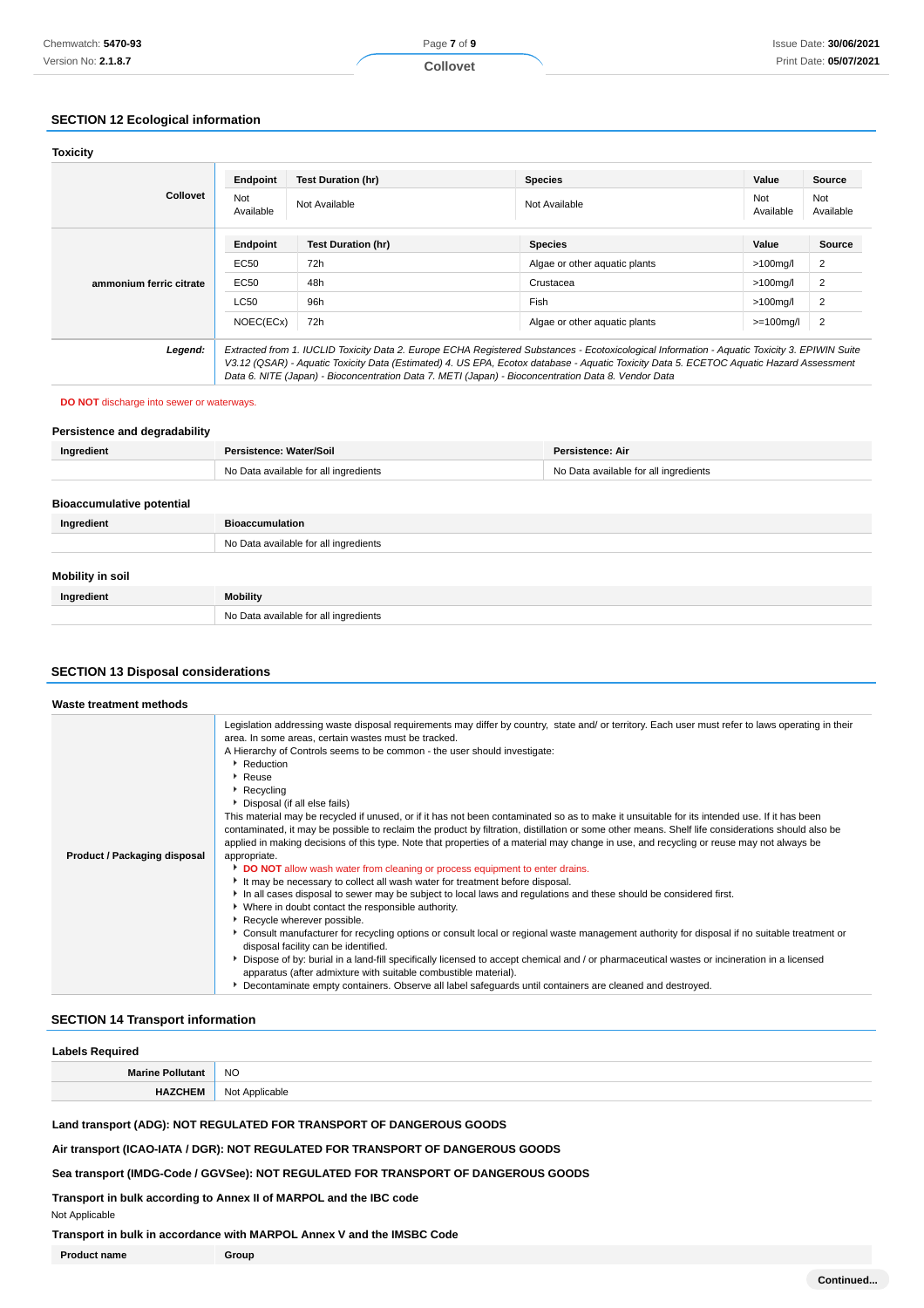## **SECTION 12 Ecological information**

| <b>Toxicity</b>         |                  |                                                                                                                                                                                                                                                                                                                                                                                                 |                               |                  |                  |
|-------------------------|------------------|-------------------------------------------------------------------------------------------------------------------------------------------------------------------------------------------------------------------------------------------------------------------------------------------------------------------------------------------------------------------------------------------------|-------------------------------|------------------|------------------|
|                         | Endpoint         | <b>Test Duration (hr)</b>                                                                                                                                                                                                                                                                                                                                                                       | <b>Species</b>                | Value            | Source           |
| <b>Collovet</b>         | Not<br>Available | Not Available                                                                                                                                                                                                                                                                                                                                                                                   | Not Available                 | Not<br>Available | Not<br>Available |
|                         | Endpoint         | <b>Test Duration (hr)</b>                                                                                                                                                                                                                                                                                                                                                                       | <b>Species</b>                | Value            | <b>Source</b>    |
|                         | EC50             | 72h                                                                                                                                                                                                                                                                                                                                                                                             | Algae or other aquatic plants | $>100$ mg/l      | 2                |
| ammonium ferric citrate | EC50             | 48h                                                                                                                                                                                                                                                                                                                                                                                             | Crustacea                     | $>100$ mg/l      | $\overline{2}$   |
|                         | LC50             | 96h                                                                                                                                                                                                                                                                                                                                                                                             | Fish                          | $>100$ mg/l      | 2                |
|                         | NOEC(ECx)        | 72h                                                                                                                                                                                                                                                                                                                                                                                             | Algae or other aguatic plants | $>=100$ mg/l     | 2                |
| Legend:                 |                  | Extracted from 1. IUCLID Toxicity Data 2. Europe ECHA Registered Substances - Ecotoxicological Information - Aquatic Toxicity 3. EPIWIN Suite<br>V3.12 (QSAR) - Aquatic Toxicity Data (Estimated) 4. US EPA, Ecotox database - Aquatic Toxicity Data 5. ECETOC Aquatic Hazard Assessment<br>Data 6. NITE (Japan) - Bioconcentration Data 7. METI (Japan) - Bioconcentration Data 8. Vendor Data |                               |                  |                  |

#### **DO NOT** discharge into sewer or waterways.

## **Persistence and degradability**

| Ingredient                       | Persistence: Water/Soil               | <b>Persistence: Air</b>               |
|----------------------------------|---------------------------------------|---------------------------------------|
|                                  | No Data available for all ingredients | No Data available for all ingredients |
| <b>Bioaccumulative potential</b> |                                       |                                       |
| Ingredient                       | <b>Bioaccumulation</b>                |                                       |
|                                  | No Data available for all ingredients |                                       |
| Mobility in soil                 |                                       |                                       |
| Ingredient                       | Mobility                              |                                       |
|                                  | No Data available for all ingredients |                                       |

## **SECTION 13 Disposal considerations**

| Waste treatment methods      |                                                                                                                                                                                                                                                                                                                                                                                                                                                                                                                                                                                                                                                                                                                                                                                                                                                                                                                                                                                                                                                                                                                                                                                                                                                                                                                                                                                                                                                                                                                                                                                                                                                                                                                                  |
|------------------------------|----------------------------------------------------------------------------------------------------------------------------------------------------------------------------------------------------------------------------------------------------------------------------------------------------------------------------------------------------------------------------------------------------------------------------------------------------------------------------------------------------------------------------------------------------------------------------------------------------------------------------------------------------------------------------------------------------------------------------------------------------------------------------------------------------------------------------------------------------------------------------------------------------------------------------------------------------------------------------------------------------------------------------------------------------------------------------------------------------------------------------------------------------------------------------------------------------------------------------------------------------------------------------------------------------------------------------------------------------------------------------------------------------------------------------------------------------------------------------------------------------------------------------------------------------------------------------------------------------------------------------------------------------------------------------------------------------------------------------------|
| Product / Packaging disposal | Legislation addressing waste disposal requirements may differ by country, state and/ or territory. Each user must refer to laws operating in their<br>area. In some areas, certain wastes must be tracked.<br>A Hierarchy of Controls seems to be common - the user should investigate:<br>Reduction<br>▶ Reuse<br>▶ Recycling<br>Disposal (if all else fails)<br>This material may be recycled if unused, or if it has not been contaminated so as to make it unsuitable for its intended use. If it has been<br>contaminated, it may be possible to reclaim the product by filtration, distillation or some other means. Shelf life considerations should also be<br>applied in making decisions of this type. Note that properties of a material may change in use, and recycling or reuse may not always be<br>appropriate.<br>DO NOT allow wash water from cleaning or process equipment to enter drains.<br>It may be necessary to collect all wash water for treatment before disposal.<br>In all cases disposal to sewer may be subject to local laws and regulations and these should be considered first.<br>• Where in doubt contact the responsible authority.<br>Recycle wherever possible.<br>▶ Consult manufacturer for recycling options or consult local or regional waste management authority for disposal if no suitable treatment or<br>disposal facility can be identified.<br>▶ Dispose of by: burial in a land-fill specifically licensed to accept chemical and / or pharmaceutical wastes or incineration in a licensed<br>apparatus (after admixture with suitable combustible material).<br>Decontaminate empty containers. Observe all label safeguards until containers are cleaned and destroyed. |

## **SECTION 14 Transport information**

| <b>Labels Required</b>  |                |  |
|-------------------------|----------------|--|
| <b>Marine Pollutant</b> | <b>NO</b>      |  |
| <b>HAZCHEM</b>          | Not Applicable |  |

**Land transport (ADG): NOT REGULATED FOR TRANSPORT OF DANGEROUS GOODS**

**Air transport (ICAO-IATA / DGR): NOT REGULATED FOR TRANSPORT OF DANGEROUS GOODS**

**Sea transport (IMDG-Code / GGVSee): NOT REGULATED FOR TRANSPORT OF DANGEROUS GOODS**

**Transport in bulk according to Annex II of MARPOL and the IBC code**

Not Applicable

**Transport in bulk in accordance with MARPOL Annex V and the IMSBC Code**

**Product name Group**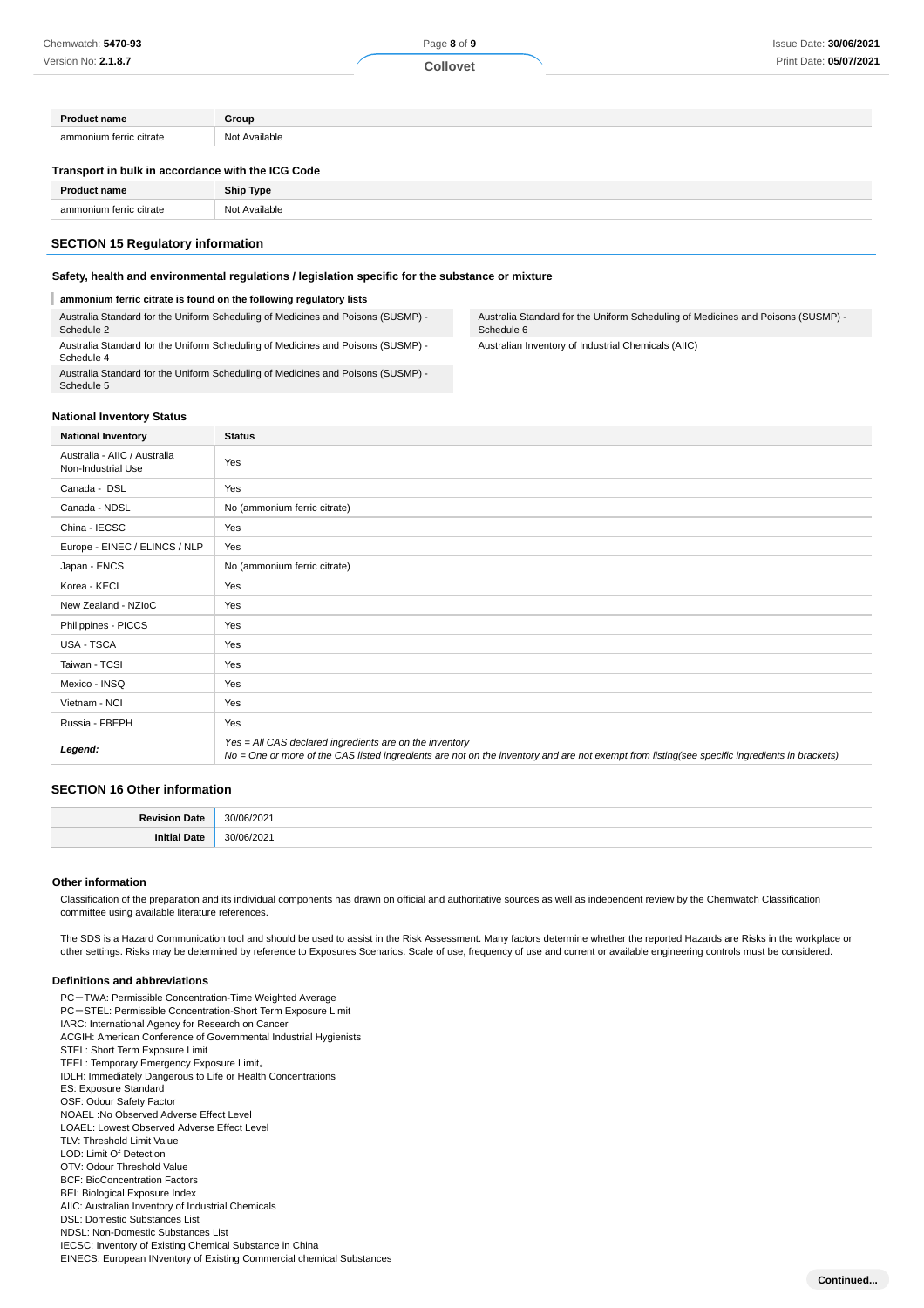| <b>Collovet</b>                                                                                                  | Print Date: 05/07/2021 |
|------------------------------------------------------------------------------------------------------------------|------------------------|
|                                                                                                                  |                        |
|                                                                                                                  |                        |
|                                                                                                                  |                        |
|                                                                                                                  |                        |
|                                                                                                                  |                        |
|                                                                                                                  |                        |
| Group<br>Not Available<br>Transport in bulk in accordance with the ICG Code<br><b>Ship Type</b><br>Not Available |                        |

#### **SECTION 15 Regulatory information**

#### **Safety, health and environmental regulations / legislation specific for the substance or mixture**

#### **ammonium ferric citrate is found on the following regulatory lists**

Australia Standard for the Uniform Scheduling of Medicines and Poisons (SUSMP) - Schedule 2 Australia Standard for the Uniform Scheduling of Medicines and Poisons (SUSMP) - Schedule 4

Australia Standard for the Uniform Scheduling of Medicines and Poisons (SUSMP) - Schedule 5

### Australia Standard for the Uniform Scheduling of Medicines and Poisons (SUSMP) - Schedule 6

**Continued...**

Australian Inventory of Industrial Chemicals (AIIC)

#### **National Inventory Status**

| <b>National Inventory</b>                          | <b>Status</b>                                                                                                                                                                                            |
|----------------------------------------------------|----------------------------------------------------------------------------------------------------------------------------------------------------------------------------------------------------------|
| Australia - AIIC / Australia<br>Non-Industrial Use | Yes                                                                                                                                                                                                      |
| Canada - DSL                                       | Yes                                                                                                                                                                                                      |
| Canada - NDSL                                      | No (ammonium ferric citrate)                                                                                                                                                                             |
| China - IECSC                                      | Yes                                                                                                                                                                                                      |
| Europe - EINEC / ELINCS / NLP                      | Yes                                                                                                                                                                                                      |
| Japan - ENCS                                       | No (ammonium ferric citrate)                                                                                                                                                                             |
| Korea - KECI                                       | Yes                                                                                                                                                                                                      |
| New Zealand - NZIoC                                | Yes                                                                                                                                                                                                      |
| Philippines - PICCS                                | Yes                                                                                                                                                                                                      |
| USA - TSCA                                         | Yes                                                                                                                                                                                                      |
| Taiwan - TCSI                                      | Yes                                                                                                                                                                                                      |
| Mexico - INSQ                                      | Yes                                                                                                                                                                                                      |
| Vietnam - NCI                                      | Yes                                                                                                                                                                                                      |
| Russia - FBEPH                                     | Yes                                                                                                                                                                                                      |
| Legend:                                            | Yes = All CAS declared ingredients are on the inventory<br>No = One or more of the CAS listed ingredients are not on the inventory and are not exempt from listing(see specific ingredients in brackets) |

#### **SECTION 16 Other information**

#### **Other information**

Classification of the preparation and its individual components has drawn on official and authoritative sources as well as independent review by the Chemwatch Classification committee using available literature references.

The SDS is a Hazard Communication tool and should be used to assist in the Risk Assessment. Many factors determine whether the reported Hazards are Risks in the workplace or other settings. Risks may be determined by reference to Exposures Scenarios. Scale of use, frequency of use and current or available engineering controls must be considered.

#### **Definitions and abbreviations**

PC-TWA: Permissible Concentration-Time Weighted Average PC-STEL: Permissible Concentration-Short Term Exposure Limit IARC: International Agency for Research on Cancer ACGIH: American Conference of Governmental Industrial Hygienists STEL: Short Term Exposure Limit TEEL: Temporary Emergency Exposure Limit。 IDLH: Immediately Dangerous to Life or Health Concentrations ES: Exposure Standard OSF: Odour Safety Factor NOAEL :No Observed Adverse Effect Level LOAEL: Lowest Observed Adverse Effect Level TLV: Threshold Limit Value LOD: Limit Of Detection OTV: Odour Threshold Value BCF: BioConcentration Factors BEI: Biological Exposure Index AIIC: Australian Inventory of Industrial Chemicals DSL: Domestic Substances List NDSL: Non-Domestic Substances List IECSC: Inventory of Existing Chemical Substance in China EINECS: European INventory of Existing Commercial chemical Substances